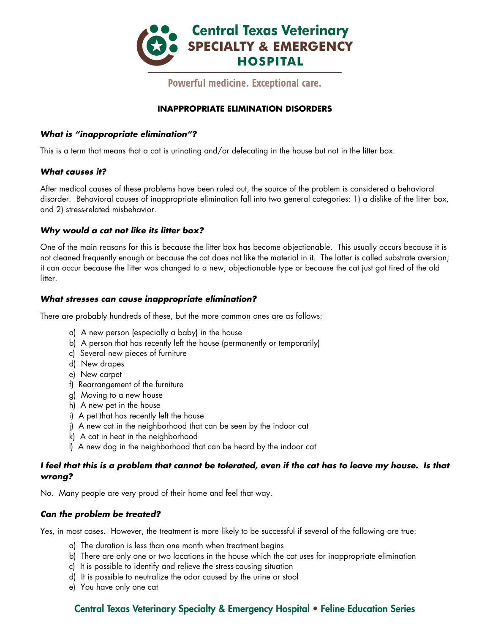

Powerful medicine. Exceptional care.

# **INAPPROPRIATE ELIMINATION DISORDERS**

#### *What is "inappropriate elimination"?*

This is a term that means that a cat is urinating and/or defecating in the house but not in the litter box.

#### *What causes it?*

After medical causes of these problems have been ruled out, the source of the problem is considered a behavioral disorder. Behavioral causes of inappropriate elimination fall into two general categories: 1) a dislike of the litter box, and 2) stress-related misbehavior.

#### *Why would a cat not like its litter box?*

One of the main reasons for this is because the litter box has become objectionable. This usually occurs because it is not cleaned frequently enough or because the cat does not like the material in it. The latter is called substrate aversion; it can occur because the litter was changed to a new, objectionable type or because the cat just got tired of the old litter.

#### *What stresses can cause inappropriate elimination?*

There are probably hundreds of these, but the more common ones are as follows:

- a) A new person (especially a baby) in the house
- b) A person that has recently left the house (permanently or temporarily)
- c) Several new pieces of furniture
- d) New drapes
- e) New carpet
- f) Rearrangement of the furniture
- g) Moving to a new house
- h) A new pet in the house
- i) A pet that has recently left the house
- j) A new cat in the neighborhood that can be seen by the indoor cat
- k) A cat in heat in the neighborhood
- l) A new dog in the neighborhood that can be heard by the indoor cat

#### *I feel that this is a problem that cannot be tolerated, even if the cat has to leave my house. Is that wrong?*

No. Many people are very proud of their home and feel that way.

#### *Can the problem be treated?*

Yes, in most cases. However, the treatment is more likely to be successful if several of the following are true:

- a) The duration is less than one month when treatment begins
- b) There are only one or two locations in the house which the cat uses for inappropriate elimination
- c) It is possible to identify and relieve the stress-causing situation
- d) It is possible to neutralize the odor caused by the urine or stool
- e) You have only one cat

# Central Texas Veterinary Specialty & Emergency Hospital • Feline Education Series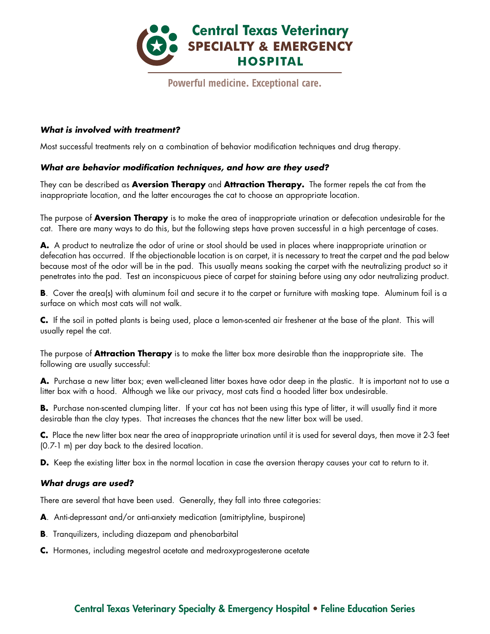

# Powerful medicine. Exceptional care.

#### *What is involved with treatment?*

Most successful treatments rely on a combination of behavior modification techniques and drug therapy.

#### *What are behavior modification techniques, and how are they used?*

They can be described as **Aversion Therapy** and **Attraction Therapy.** The former repels the cat from the inappropriate location, and the latter encourages the cat to choose an appropriate location.

The purpose of **Aversion Therapy** is to make the area of inappropriate urination or defecation undesirable for the cat. There are many ways to do this, but the following steps have proven successful in a high percentage of cases.

**A.** A product to neutralize the odor of urine or stool should be used in places where inappropriate urination or defecation has occurred. If the objectionable location is on carpet, it is necessary to treat the carpet and the pad below because most of the odor will be in the pad. This usually means soaking the carpet with the neutralizing product so it penetrates into the pad. Test an inconspicuous piece of carpet for staining before using any odor neutralizing product.

**B**. Cover the area(s) with aluminum foil and secure it to the carpet or furniture with masking tape. Aluminum foil is a surface on which most cats will not walk.

**C.** If the soil in potted plants is being used, place a lemon-scented air freshener at the base of the plant. This will usually repel the cat.

The purpose of **Attraction Therapy** is to make the litter box more desirable than the inappropriate site. The following are usually successful:

A. Purchase a new litter box; even well-cleaned litter boxes have odor deep in the plastic. It is important not to use a litter box with a hood. Although we like our privacy, most cats find a hooded litter box undesirable.

**B.** Purchase non-scented clumping litter. If your cat has not been using this type of litter, it will usually find it more desirable than the clay types. That increases the chances that the new litter box will be used.

**C.** Place the new litter box near the area of inappropriate urination until it is used for several days, then move it 2-3 feet (0.7-1 m) per day back to the desired location.

**D.** Keep the existing litter box in the normal location in case the aversion therapy causes your cat to return to it.

### *What drugs are used?*

There are several that have been used. Generally, they fall into three categories:

- **A**. Anti-depressant and/or anti-anxiety medication (amitriptyline, buspirone)
- **B**. Tranquilizers, including diazepam and phenobarbital
- **C.** Hormones, including megestrol acetate and medroxyprogesterone acetate

# Central Texas Veterinary Specialty & Emergency Hospital • Feline Education Series